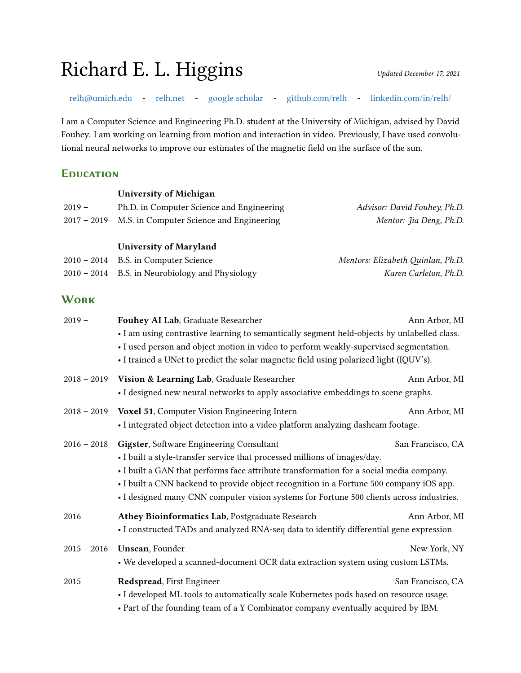# Richard E. L. Higgins *Updated December 17, 2021*

[relh@umich.edu](mailto:relh@umich.edu) - [relh.net](https://relh.net) - [google scholar](https://scholar.google.com/citations?user=uMZ5Xq4AAAAJ&hl=en) - [github.com/relh](https://github.com/relh) - [linkedin.com/in/relh/](https://www.linkedin.com/in/relh/)

I am a Computer Science and Engineering Ph.D. student at the University of Michigan, advised by David Fouhey. I am working on learning from motion and interaction in video. Previously, I have used convolutional neural networks to improve our estimates of the magnetic field on the surface of the sun.

#### **Education**

| $2019 -$<br>$2017 - 2019$ | <b>University of Michigan</b><br>Ph.D. in Computer Science and Engineering<br>M.S. in Computer Science and Engineering                                                                                                                                                                                                                                                                                  | Advisor: David Fouhey, Ph.D.<br>Mentor: Jia Deng, Ph.D. |
|---------------------------|---------------------------------------------------------------------------------------------------------------------------------------------------------------------------------------------------------------------------------------------------------------------------------------------------------------------------------------------------------------------------------------------------------|---------------------------------------------------------|
| $2010 - 2014$             | <b>University of Maryland</b><br>B.S. in Computer Science                                                                                                                                                                                                                                                                                                                                               | Mentors: Elizabeth Quinlan, Ph.D.                       |
| $2010 - 2014$             | B.S. in Neurobiology and Physiology                                                                                                                                                                                                                                                                                                                                                                     | Karen Carleton, Ph.D.                                   |
| <b>WORK</b>               |                                                                                                                                                                                                                                                                                                                                                                                                         |                                                         |
| $2019 -$                  | Fouhey AI Lab, Graduate Researcher<br>• I am using contrastive learning to semantically segment held-objects by unlabelled class.<br>• I used person and object motion in video to perform weakly-supervised segmentation.<br>• I trained a UNet to predict the solar magnetic field using polarized light (IQUV's).                                                                                    | Ann Arbor, MI                                           |
| $2018 - 2019$             | Vision & Learning Lab, Graduate Researcher<br>• I designed new neural networks to apply associative embeddings to scene graphs.                                                                                                                                                                                                                                                                         | Ann Arbor, MI                                           |
| $2018 - 2019$             | Voxel 51, Computer Vision Engineering Intern<br>• I integrated object detection into a video platform analyzing dashcam footage.                                                                                                                                                                                                                                                                        | Ann Arbor, MI                                           |
| $2016 - 2018$             | Gigster, Software Engineering Consultant<br>• I built a style-transfer service that processed millions of images/day.<br>• I built a GAN that performs face attribute transformation for a social media company.<br>• I built a CNN backend to provide object recognition in a Fortune 500 company iOS app.<br>• I designed many CNN computer vision systems for Fortune 500 clients across industries. | San Francisco, CA                                       |
| 2016                      | Athey Bioinformatics Lab, Postgraduate Research<br>• I constructed TADs and analyzed RNA-seq data to identify differential gene expression                                                                                                                                                                                                                                                              | Ann Arbor, MI                                           |
| $2015 - 2016$             | <b>Unscan, Founder</b><br>• We developed a scanned-document OCR data extraction system using custom LSTMs.                                                                                                                                                                                                                                                                                              | New York, NY                                            |
| 2015                      | Redspread, First Engineer<br>• I developed ML tools to automatically scale Kubernetes pods based on resource usage.<br>• Part of the founding team of a Y Combinator company eventually acquired by IBM.                                                                                                                                                                                                | San Francisco, CA                                       |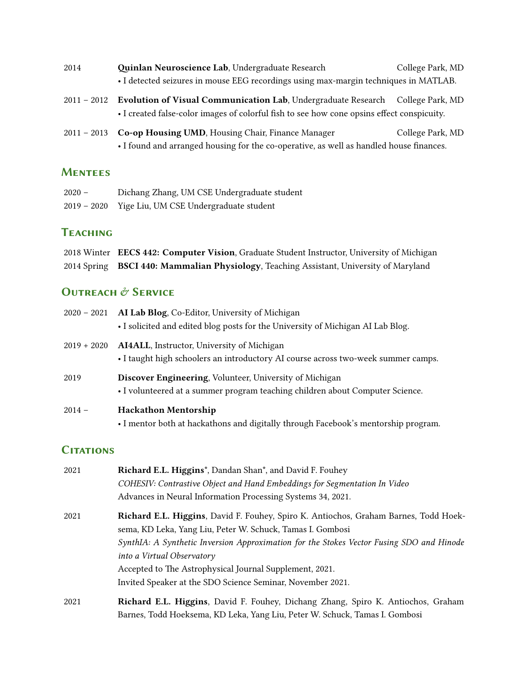| 2014 | Quinlan Neuroscience Lab, Undergraduate Research                                     | College Park, MD |
|------|--------------------------------------------------------------------------------------|------------------|
|      | • I detected seizures in mouse EEG recordings using max-margin techniques in MATLAB. |                  |
|      | 2011 - 2012 Evolution of Visual Communication Lab, Undergraduate Research            | College Park, MD |

2011 - 2013 **Co-op Housing UMD**, Housing Chair, Finance Manager College Park, MD • I found and arranged housing for the co-operative, as well as handled house finances.

• I created false-color images of colorful fish to see how cone opsins effect conspicuity.

#### **Mentees**

| $2020 -$      | Dichang Zhang, UM CSE Undergraduate student |
|---------------|---------------------------------------------|
| $2019 - 2020$ | Yige Liu, UM CSE Undergraduate student      |

## **TeacHing**

2018 Winter **EECS 442: Computer Vision**, Graduate Student Instructor, University of Michigan 2014 Spring **BSCI 440: Mammalian Physiology**, Teaching Assistant, University of Maryland

### **OUTREACH & SERVICE**

| $2020 - 2021$ | AI Lab Blog, Co-Editor, University of Michigan<br>• I solicited and edited blog posts for the University of Michigan AI Lab Blog.               |
|---------------|-------------------------------------------------------------------------------------------------------------------------------------------------|
| $2019 + 2020$ | <b>AI4ALL</b> , Instructor, University of Michigan<br>• I taught high schoolers an introductory AI course across two-week summer camps.         |
| 2019          | <b>Discover Engineering, Volunteer, University of Michigan</b><br>• I volunteered at a summer program teaching children about Computer Science. |
| $2014 -$      | <b>Hackathon Mentorship</b><br>• I mentor both at hackathons and digitally through Facebook's mentorship program.                               |

### **Citations**

| 2021 | <b>Richard E.L. Higgins</b> <sup>*</sup> , Dandan Shan <sup>*</sup> , and David F. Fouhey |  |
|------|-------------------------------------------------------------------------------------------|--|
|      | COHESIV: Contrastive Object and Hand Embeddings for Segmentation In Video                 |  |
|      | Advances in Neural Information Processing Systems 34, 2021.                               |  |
| 2021 | Richard E.L. Higgins, David F. Fouhey, Spiro K. Antiochos, Graham Barnes, Todd Hoek-      |  |
|      | sema, KD Leka, Yang Liu, Peter W. Schuck, Tamas I. Gombosi                                |  |
|      | SynthIA: A Synthetic Inversion Approximation for the Stokes Vector Fusing SDO and Hinode  |  |
|      | into a Virtual Observatory                                                                |  |
|      | Accepted to The Astrophysical Journal Supplement, 2021.                                   |  |
|      | Invited Speaker at the SDO Science Seminar, November 2021.                                |  |
| 2021 | Richard E.L. Higgins, David F. Fouhey, Dichang Zhang, Spiro K. Antiochos, Graham          |  |
|      | Barnes, Todd Hoeksema, KD Leka, Yang Liu, Peter W. Schuck, Tamas I. Gombosi               |  |